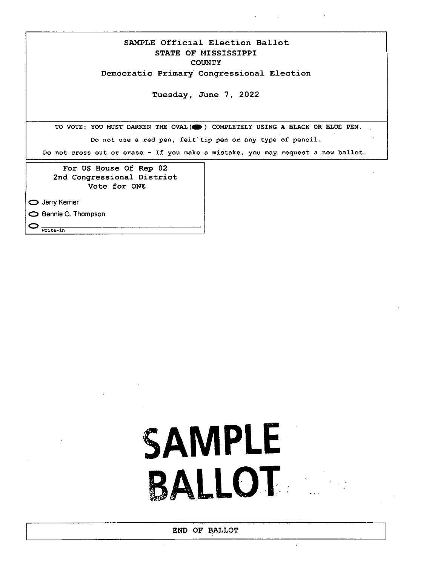SAMPLE Official Election Ballot STATE OF MISSISSIPPI **COUNTY** Democratic Primary Congressional Election

Tuesday, June 7, 2022

TO VOTE: YOU MUST DARKEN THE OVAL (O) COMPLETELY USING A BLACK OR BLUE PEN. Do not use a red pen, felt tip pen or any type of pencil. Do not cross out or erase - If you make a mistake, you may request a new ballot.

For US House Of Rep 02 2nd Congressional District Vote for ONE

0 Jerry Kerner

0 Bennie G. Thompson

 $\bigcirc$  write-in

## **SAMPLE BALLOT**

 $\epsilon$